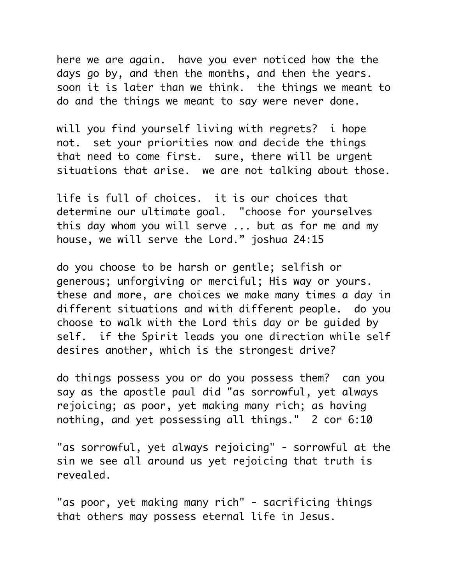here we are again. have you ever noticed how the the days go by, and then the months, and then the years. soon it is later than we think. the things we meant to do and the things we meant to say were never done.

will you find yourself living with regrets? i hope not. set your priorities now and decide the things that need to come first. sure, there will be urgent situations that arise. we are not talking about those.

life is full of choices. it is our choices that determine our ultimate goal. "choose for yourselves this day whom you will serve ... but as for me and my house, we will serve the Lord." joshua 24:15

do you choose to be harsh or gentle; selfish or generous; unforgiving or merciful; His way or yours. these and more, are choices we make many times a day in different situations and with different people. do you choose to walk with the Lord this day or be guided by self. if the Spirit leads you one direction while self desires another, which is the strongest drive?

do things possess you or do you possess them? can you say as the apostle paul did "as sorrowful, yet always rejoicing; as poor, yet making many rich; as having nothing, and yet possessing all things." 2 cor 6:10

"as sorrowful, yet always rejoicing" - sorrowful at the sin we see all around us yet rejoicing that truth is revealed.

"as poor, yet making many rich" - sacrificing things that others may possess eternal life in Jesus.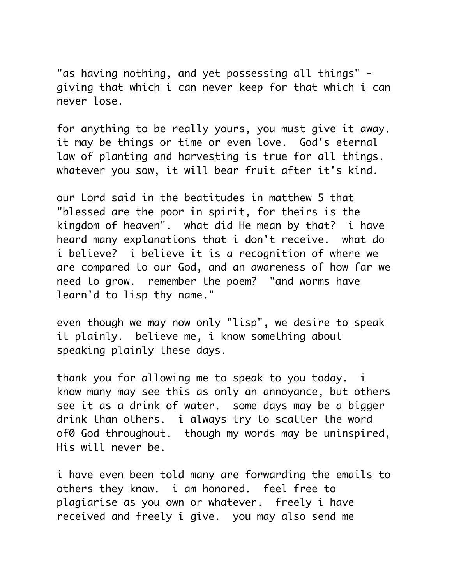"as having nothing, and yet possessing all things" giving that which i can never keep for that which i can never lose.

for anything to be really yours, you must give it away. it may be things or time or even love. God's eternal law of planting and harvesting is true for all things. whatever you sow, it will bear fruit after it's kind.

our Lord said in the beatitudes in matthew 5 that "blessed are the poor in spirit, for theirs is the kingdom of heaven". what did He mean by that? i have heard many explanations that i don't receive. what do i believe? i believe it is a recognition of where we are compared to our God, and an awareness of how far we need to grow. remember the poem? "and worms have learn'd to lisp thy name."

even though we may now only "lisp", we desire to speak it plainly. believe me, i know something about speaking plainly these days.

thank you for allowing me to speak to you today. i know many may see this as only an annoyance, but others see it as a drink of water. some days may be a bigger drink than others. i always try to scatter the word of0 God throughout. though my words may be uninspired, His will never be.

i have even been told many are forwarding the emails to others they know. i am honored. feel free to plagiarise as you own or whatever. freely i have received and freely i give. you may also send me